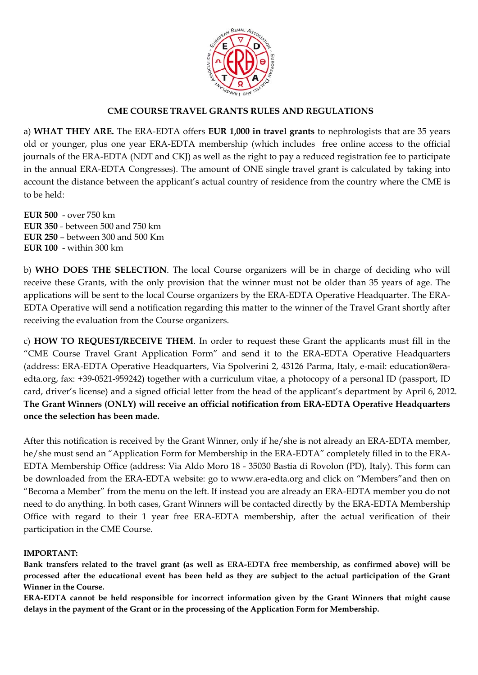

## **CME COURSE TRAVEL GRANTS RULES AND REGULATIONS**

a) **WHAT THEY ARE.** The ERA-EDTA offers **EUR 1,000 in travel grants** to nephrologists that are 35 years old or younger, plus one year ERA-EDTA membership (which includes free online access to the official journals of the ERA-EDTA (NDT and CKJ) as well as the right to pay a reduced registration fee to participate in the annual ERA-EDTA Congresses). The amount of ONE single travel grant is calculated by taking into account the distance between the applicant's actual country of residence from the country where the CME is to be held:

**EUR 500** - over 750 km **EUR 350** - between 500 and 750 km **EUR 250** – between 300 and 500 Km **EUR 100** - within 300 km

b) **WHO DOES THE SELECTION**. The local Course organizers will be in charge of deciding who will receive these Grants, with the only provision that the winner must not be older than 35 years of age. The applications will be sent to the local Course organizers by the ERA-EDTA Operative Headquarter. The ERA-EDTA Operative will send a notification regarding this matter to the winner of the Travel Grant shortly after receiving the evaluation from the Course organizers.

c) **HOW TO REQUEST/RECEIVE THEM**. In order to request these Grant the applicants must fill in the "CME Course Travel Grant Application Form" and send it to the ERA-EDTA Operative Headquarters (address: ERA-EDTA Operative Headquarters, Via Spolverini 2, 43126 Parma, Italy, e-mail: education@eraedta.org, fax: +39-0521-959242) together with a curriculum vitae, a photocopy of a personal ID (passport, ID card, driver's license) and a signed official letter from the head of the applicant's department by April 6, 2012. **The Grant Winners (ONLY) will receive an official notification from ERA-EDTA Operative Headquarters once the selection has been made.** 

After this notification is received by the Grant Winner, only if he/she is not already an ERA-EDTA member, he/she must send an "Application Form for Membership in the ERA-EDTA" completely filled in to the ERA-EDTA Membership Office (address: Via Aldo Moro 18 - 35030 Bastia di Rovolon (PD), Italy). This form can be downloaded from the ERA-EDTA website: go to www.era-edta.org and click on "Members"and then on "Becoma a Member" from the menu on the left. If instead you are already an ERA-EDTA member you do not need to do anything. In both cases, Grant Winners will be contacted directly by the ERA-EDTA Membership Office with regard to their 1 year free ERA-EDTA membership, after the actual verification of their participation in the CME Course.

### **IMPORTANT:**

**Bank transfers related to the travel grant (as well as ERA-EDTA free membership, as confirmed above) will be processed after the educational event has been held as they are subject to the actual participation of the Grant Winner in the Course.** 

**ERA-EDTA cannot be held responsible for incorrect information given by the Grant Winners that might cause delays in the payment of the Grant or in the processing of the Application Form for Membership.**